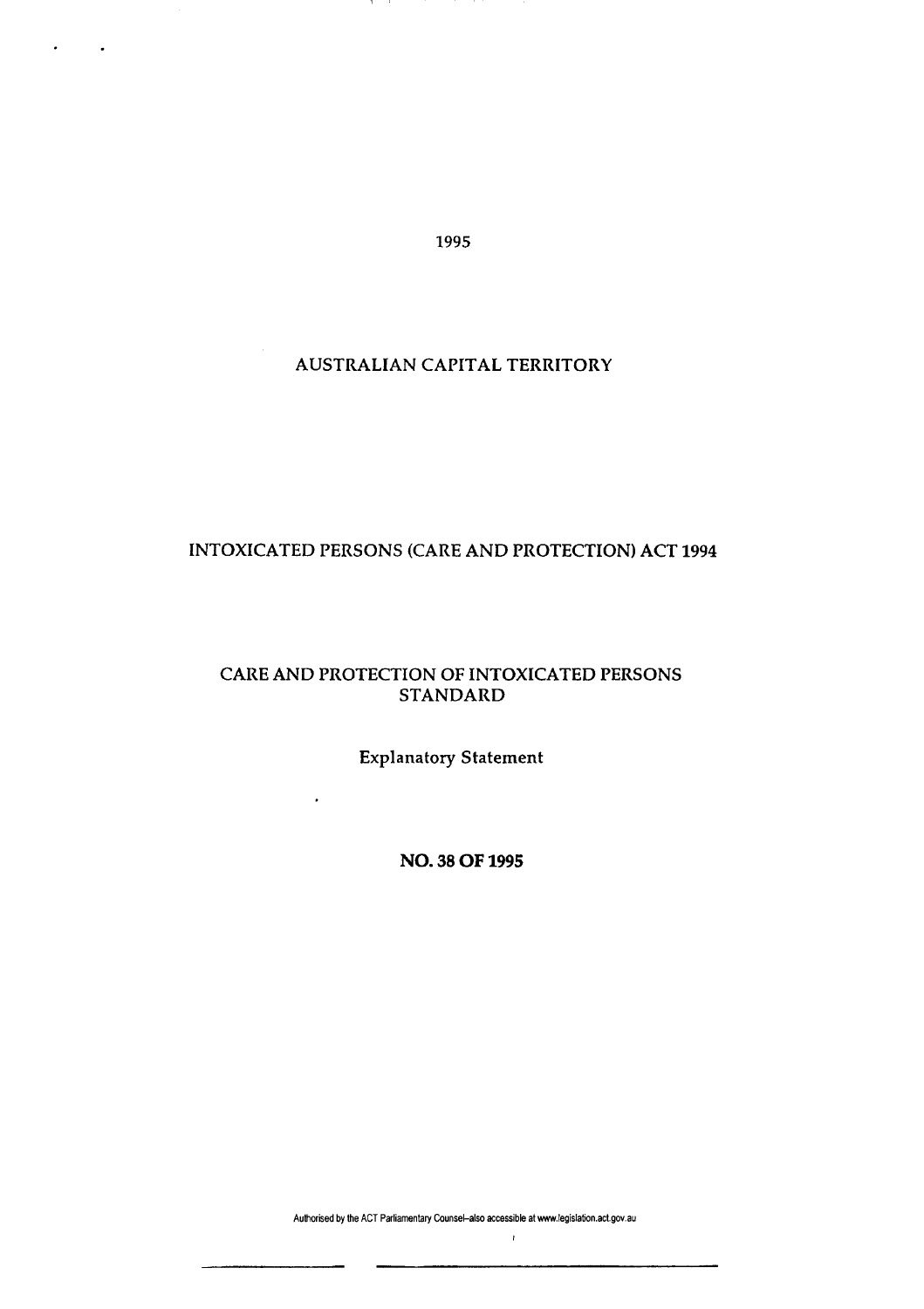1995

 $\mathbf{1}$  $\sim$ 

## AUSTRALIAN CAPITAL TERRITORY

# INTOXICATED PERSONS (CARE AND PROTECTION) ACT 1994

### CARE AND PROTECTION OF INTOXICATED PERSONS STANDARD

Explanatory Statement

 $\cdot$ 

**NO. 38 OF 1995** 

Authorised by the ACT Parliamentary Counsel-also accessible at www.legislation.act.gov.au

 $\bar{t}$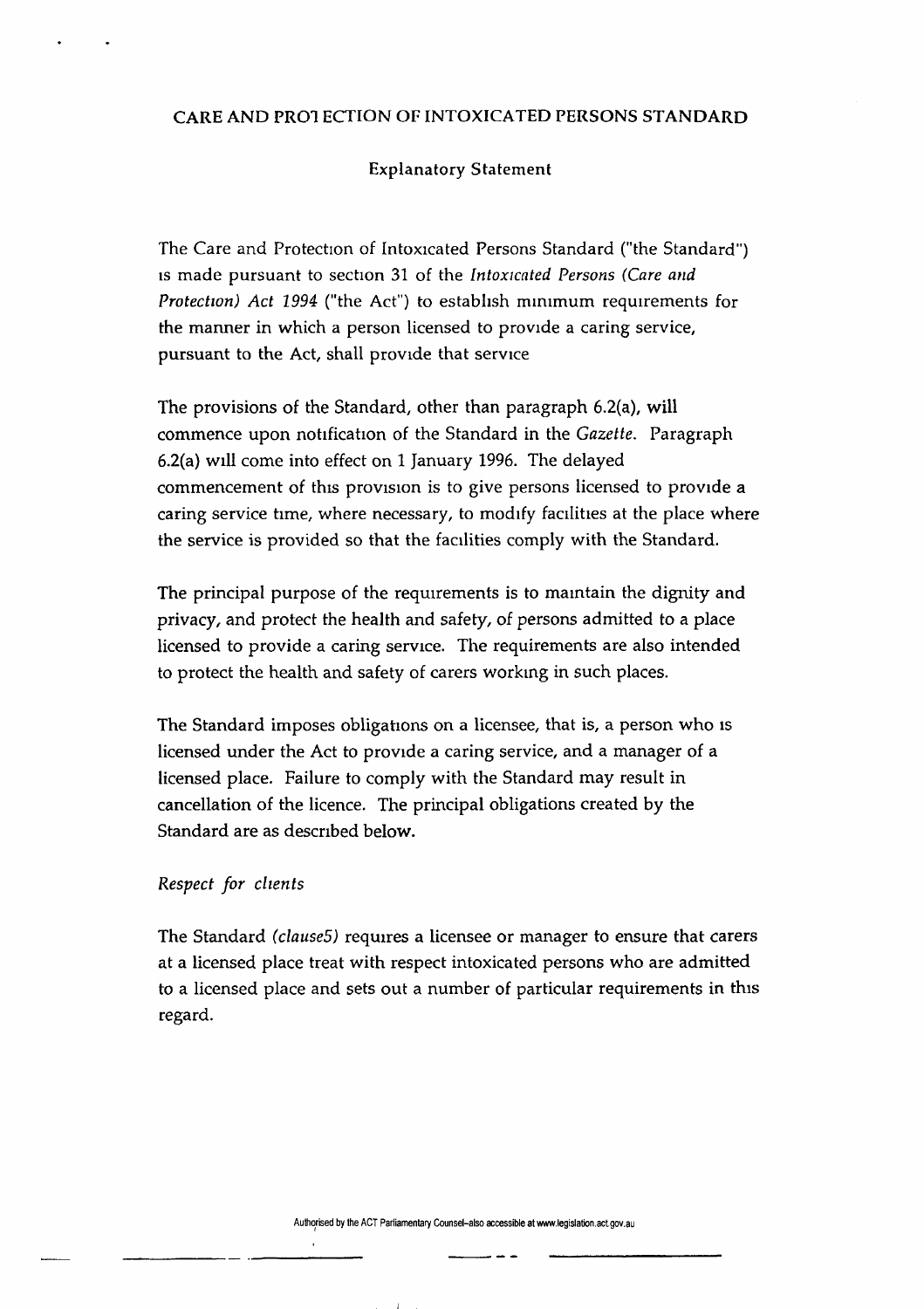#### CARE AND PRO! ECTION OF INTOXICATED PERSONS STANDARD

#### Explanatory Statement

The Care and Protection of Intoxicated Persons Standard ("the Standard") is made pursuant to section 31 of the *Intoxicated Persons (Care and Protection) Act 1994* ("the Act") to establish minimum requirements for the manner in which a person licensed to provide a caring service, pursuant to the Act, shall provide that service

The provisions of the Standard, other than paragraph 6.2(a), will commence upon notification of the Standard in the *Gazette.* Paragraph 6.2(a) will come into effect on 1 January 1996. The delayed commencement of this provision is to give persons licensed to provide a caring service time, where necessary, to modify facilities at the place where the service is provided so that the facilities comply with the Standard.

The principal purpose of the requirements is to maintain the dignity and privacy, and protect the health and safety, of persons admitted to a place licensed to provide a caring service. The requirements are also intended to protect the health and safety of carers working in such places.

The Standard imposes obligations on a licensee, that is, a person who is licensed under the Act to provide a caring service, and a manager of a licensed place. Failure to comply with the Standard may result in cancellation of the licence. The principal obligations created by the Standard are as described below.

#### *Respect for clients*

The Standard *(clause5)* requires a licensee or manager to ensure that carers at a licensed place treat with respect intoxicated persons who are admitted to a licensed place and sets out a number of particular requirements in this regard.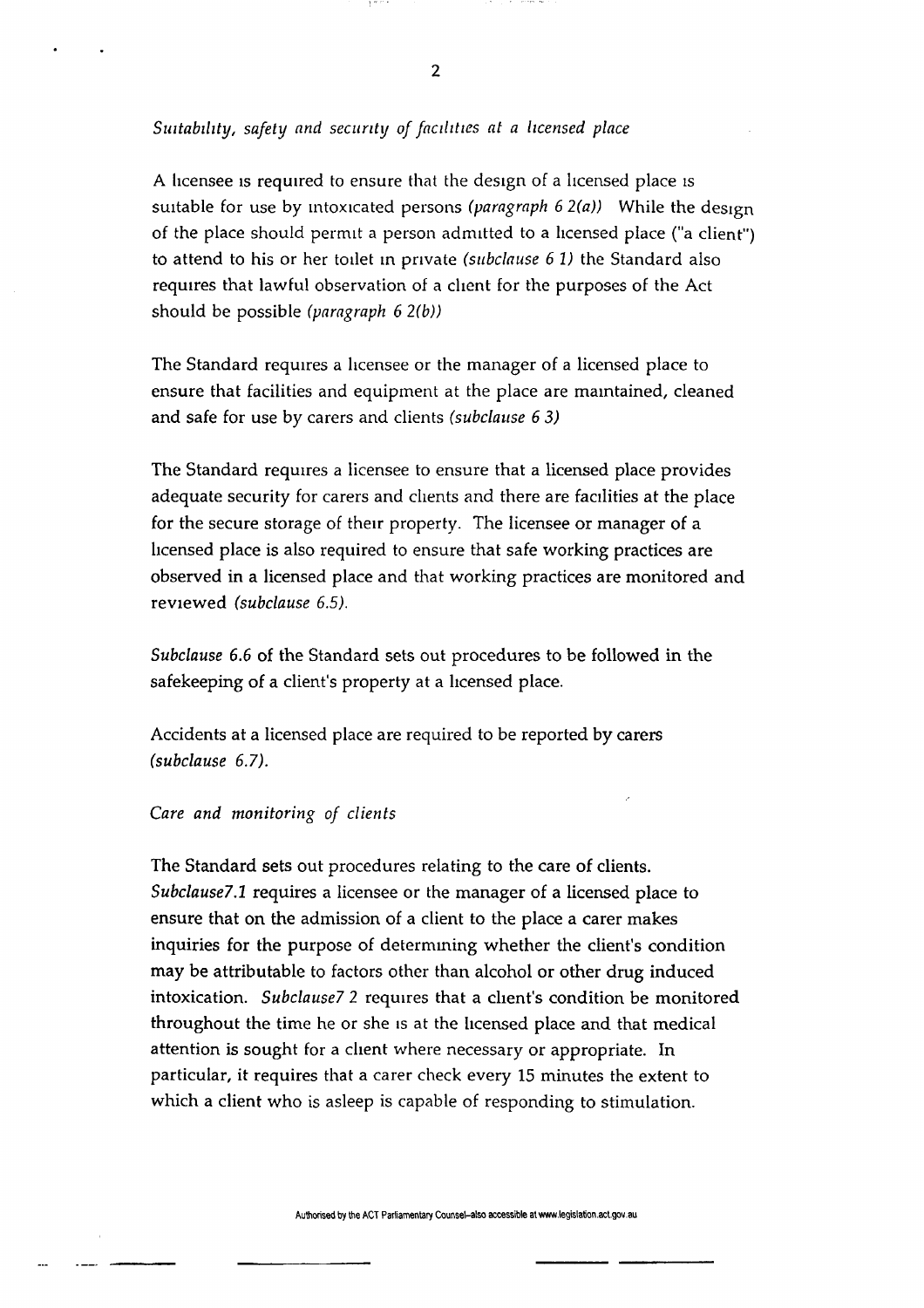**2** 

#### *Suitability, safety and security of facilities at a licensed place*

A licensee is required to ensure that the design of a licensed place is suitable for use by intoxicated persons *(paragraph 6 2(a))* While the design of the place should permit a person admitted to a licensed place ("a client") to attend to his or her toilet in private *(subclause 6 1)* the Standard also requires that lawful observation of a client for the purposes of the Act should be possible *(paragraph 6 2(b))* 

The Standard requires a licensee or the manager of a licensed place to ensure that facilities and equipment at the place are maintained, cleaned and safe for use by carers and clients *(subclause 6 3)* 

The Standard requires a licensee to ensure that a licensed place provides adequate security for carers and clients and there are facilities at the place for the secure storage of their property. The licensee or manager of a licensed place is also required to ensure that safe working practices are observed in a licensed place and that working practices are monitored and reviewed *(subclause 6.5).* 

*Subclause 6.6* of the Standard sets out procedures to be followed in the safekeeping of a client's property at a licensed place.

Accidents at a licensed place are required to be reported by carers *(subclause 6.7).* 

#### *Care and monitoring of clients*

The Standard sets out procedures relating to the care of clients. *Subclause?.1* requires a licensee or the manager of a licensed place to ensure that on the admission of a client to the place a carer makes inquiries for the purpose of determining whether the client's condition may be attributable to factors other than alcohol or other drug induced intoxication. *Subclause? 2* requires that a client's condition be monitored throughout the time he or she is at the licensed place and that medical attention is sought for a client where necessary or appropriate. In particular, it requires that a carer check every 15 minutes the extent to which a client who is asleep is capable of responding to stimulation.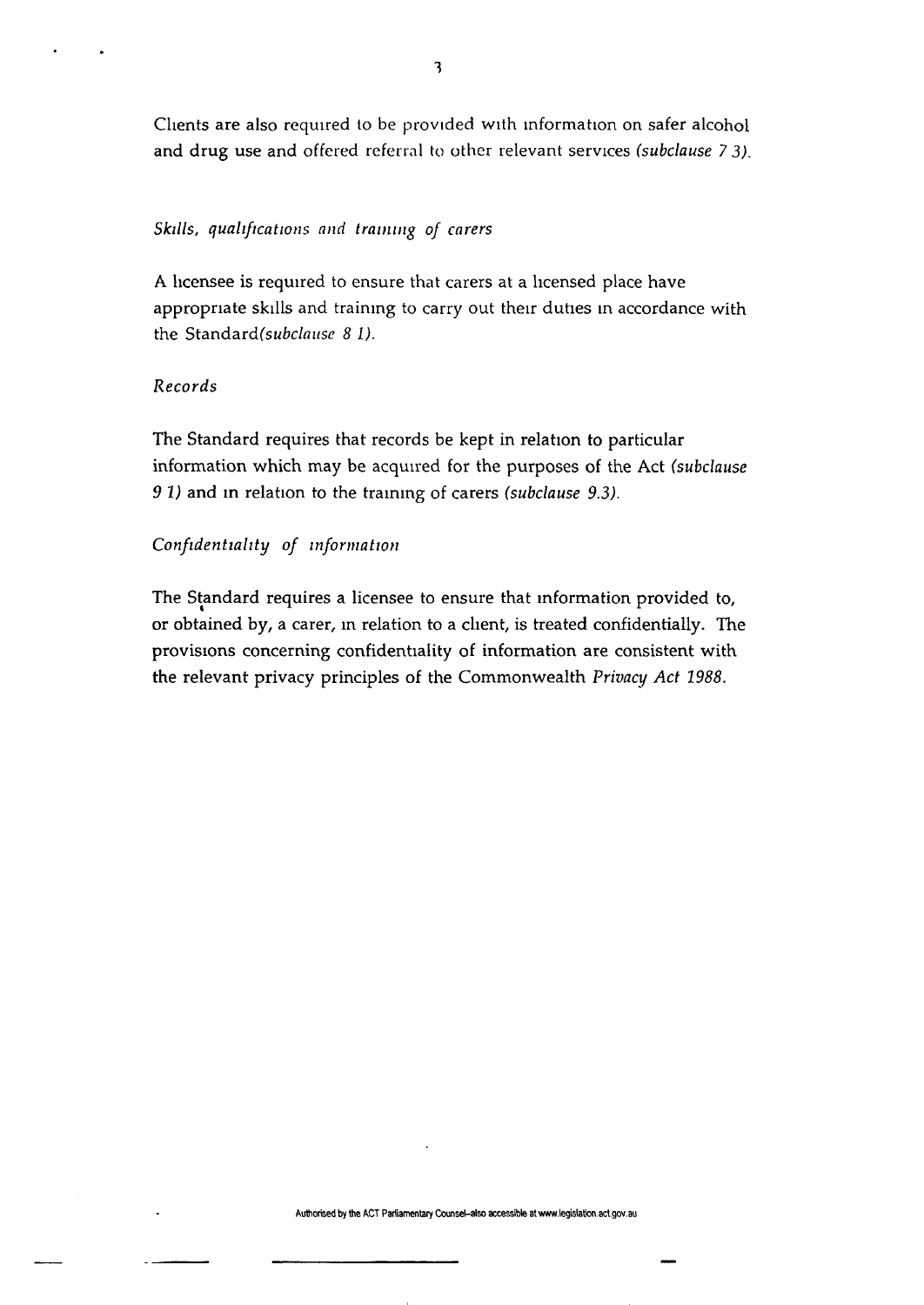Clients are also required to be provided with information on safer alcohol and drug use and offered referral to other relevant services *(subclause* 7 *3).* 

#### *Skills, qualifications and training of carers*

A licensee is required to ensure that carers at a licensed place have appropriate skills and training to carry out their duties in accordance with the Standard(subclause 8 I).

### *Records*

The Standard requires that records be kept in relation to particular information which may be acquired for the purposes of the Act *(subclause 9 1)* and in relation to the training of carers *(subclause 9.3).* 

#### *Confidentiality of information*

The Standard requires a licensee to ensure that information provided to, or obtained by, a carer, in relation to a client, is treated confidentially. The provisions concerning confidentiality of information are consistent with the relevant privacy principles of the Commonwealth *Privacy Act 1988.*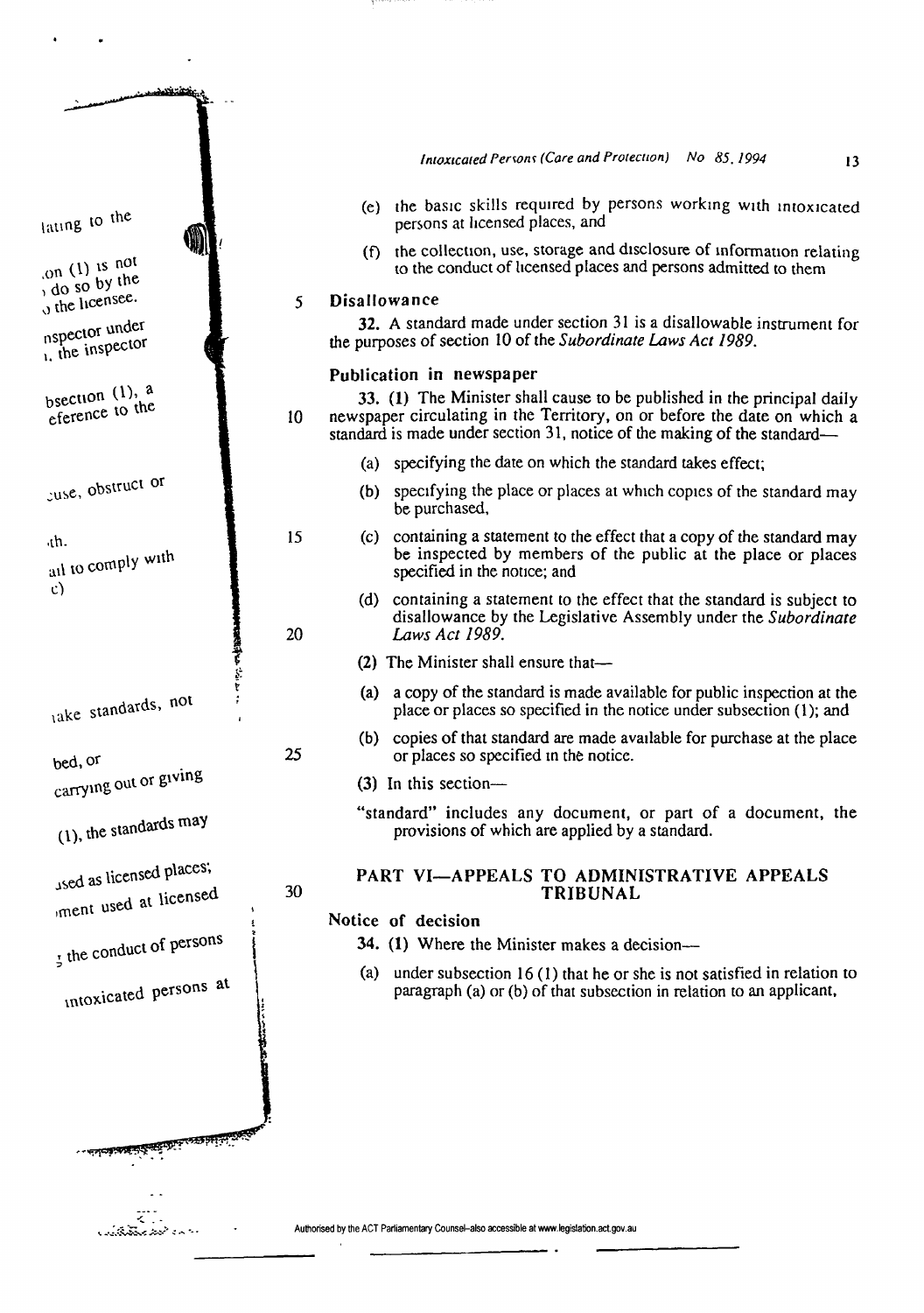| <u>د بخشتگاهاسد ن</u>                              |    |                                                                                                                                                                                                                                 |
|----------------------------------------------------|----|---------------------------------------------------------------------------------------------------------------------------------------------------------------------------------------------------------------------------------|
|                                                    |    |                                                                                                                                                                                                                                 |
|                                                    |    | Intoxicated Persons (Care and Protection) No 85, 1994<br>13                                                                                                                                                                     |
| lating to the                                      |    | (e) the basic skills required by persons working with intoxicated<br>persons at licensed places, and                                                                                                                            |
| on $(1)$ is not                                    |    | (f) the collection, use, storage and disclosure of information relating<br>to the conduct of licensed places and persons admitted to them                                                                                       |
| , do so by the<br>$\sigma$ the licensee.           | 5  | <b>Disallowance</b>                                                                                                                                                                                                             |
|                                                    |    | 32. A standard made under section 31 is a disallowable instrument for                                                                                                                                                           |
| nspector under<br>$\mu$ , the inspector            |    | the purposes of section 10 of the Subordinate Laws Act 1989.                                                                                                                                                                    |
|                                                    |    | Publication in newspaper                                                                                                                                                                                                        |
| bsection $(1)$ , a<br>eference to the              | 10 | 33. (1) The Minister shall cause to be published in the principal daily<br>newspaper circulating in the Territory, on or before the date on which a<br>standard is made under section 31, notice of the making of the standard— |
|                                                    |    | (a) specifying the date on which the standard takes effect;                                                                                                                                                                     |
| cuse, obstruct or                                  |    | (b) specifying the place or places at which copies of the standard may<br>be purchased,                                                                                                                                         |
| ۰th.<br>ail to comply with                         | 15 | (c) containing a statement to the effect that a copy of the standard may<br>be inspected by members of the public at the place or places<br>specified in the notice; and                                                        |
| $\mathbf{c}$                                       | 20 | (d) containing a statement to the effect that the standard is subject to<br>disallowance by the Legislative Assembly under the Subordinate<br>Laws Act 1989.                                                                    |
| 大学                                                 |    | (2) The Minister shall ensure that—                                                                                                                                                                                             |
| lake standards, not                                |    | (a) a copy of the standard is made available for public inspection at the<br>place or places so specified in the notice under subsection (1); and                                                                               |
| bed, or                                            | 25 | (b) copies of that standard are made available for purchase at the place<br>or places so specified in the notice.                                                                                                               |
| carrying out or giving                             |    | $(3)$ In this section-                                                                                                                                                                                                          |
| (1), the standards may                             |    | "standard" includes any document, or part of a document, the<br>provisions of which are applied by a standard.                                                                                                                  |
| used as licensed places;<br>iment used at licensed | 30 | PART VI-APPEALS TO ADMINISTRATIVE APPEALS<br>TRIBUNAL                                                                                                                                                                           |
|                                                    |    | Notice of decision                                                                                                                                                                                                              |
| I the conduct of persons                           |    | 34. (1) Where the Minister makes a decision—                                                                                                                                                                                    |
|                                                    |    | (a) under subsection $16(1)$ that he or she is not satisfied in relation to                                                                                                                                                     |
| intoxicated persons at                             |    | paragraph (a) or (b) of that subsection in relation to an applicant,                                                                                                                                                            |
|                                                    |    |                                                                                                                                                                                                                                 |
|                                                    |    |                                                                                                                                                                                                                                 |
|                                                    |    |                                                                                                                                                                                                                                 |
|                                                    |    |                                                                                                                                                                                                                                 |
|                                                    |    | Authorised by the ACT Parliamentary Counsel-also accessible at www.legislation.act.gov.au                                                                                                                                       |

l,

 $\ddot{\phantom{a}}$ 

 $\cdot$